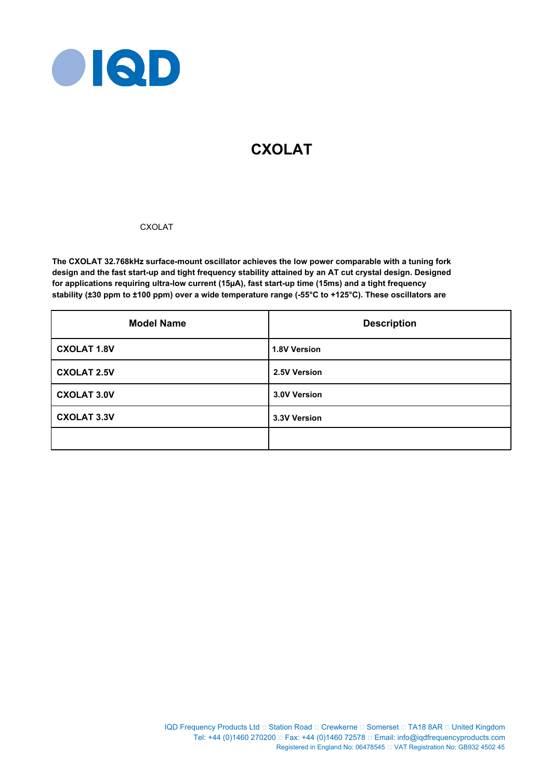

# **CXOLAT**

# CXOLAT

**The CXOLAT 32.768kHz surface-mount oscillator achieves the low power comparable with a tuning fork design and the fast start-up and tight frequency stability attained by an AT cut crystal design. Designed for applications requiring ultra-low current (15µA), fast start-up time (15ms) and a tight frequency stability (±30 ppm to ±100 ppm) over a wide temperature range (-55°C to +125°C). These oscillators are** 

| <b>Model Name</b>  | <b>Description</b>  |
|--------------------|---------------------|
| <b>CXOLAT 1.8V</b> | <b>1.8V Version</b> |
| <b>CXOLAT 2.5V</b> | 2.5V Version        |
| <b>CXOLAT 3.0V</b> | 3.0V Version        |
| <b>CXOLAT 3.3V</b> | 3.3V Version        |
|                    |                     |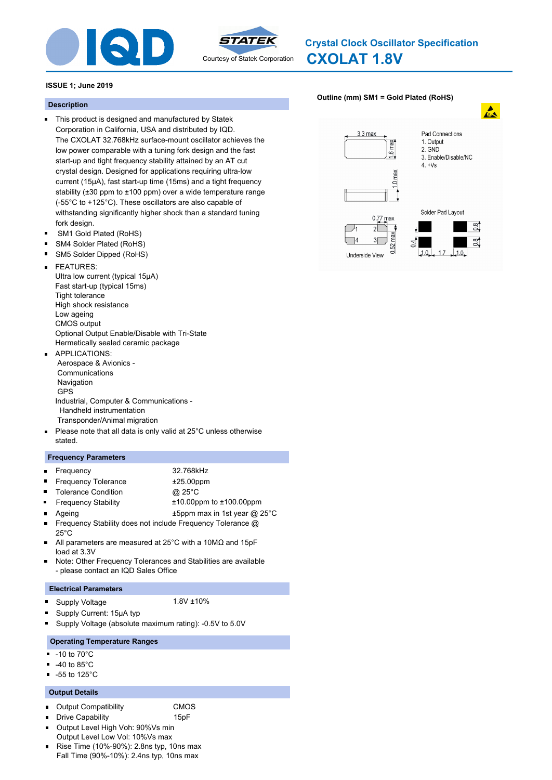



# **CXOLAT 1.8V Crystal Clock Oscillator Specification**

# **ISSUE 1; June 2019**

# **Description**

- This product is designed and manufactured by Statek Corporation in California, USA and distributed by IQD. The CXOLAT 32.768kHz surface-mount oscillator achieves the low power comparable with a tuning fork design and the fast start-up and tight frequency stability attained by an AT cut crystal design. Designed for applications requiring ultra-low current (15µA), fast start-up time (15ms) and a tight frequency stability (±30 ppm to ±100 ppm) over a wide temperature range (-55°C to +125°C). These oscillators are also capable of withstanding significantly higher shock than a standard tuning fork design.
- SM1 Gold Plated (RoHS)  $\blacksquare$
- $\blacksquare$ SM4 Solder Plated (RoHS)
- SM5 Solder Dipped (RoHS)
- FEATURES:  $\blacksquare$ Ultra low current (typical 15μA) Fast start-up (typical 15ms) Tight tolerance High shock resistance Low ageing CMOS output Optional Output Enable/Disable with Tri-State Hermetically sealed ceramic package
- APPLICATIONS: Aerospace & Avionics - Communications Navigation GPS Industrial, Computer & Communications - Handheld instrumentation Transponder/Animal migration
- $\blacksquare$ Please note that all data is only valid at 25°C unless otherwise stated.

# **Frequency Parameters**

- Frequency 32.768kHz
- $\blacksquare$ Frequency Tolerance  $\pm 25.00$ ppm
- Tolerance Condition **@ 25°C**
- - Frequency Stability ±10.00ppm to ±100.00ppm
- 

 $\blacksquare$ 

 $\blacksquare$ 

- Ageing the top and the top the same state of the top and the top and the top and the top and the top and the top and the top and the top and the top and the top and the top and the top and the top and the top and the top a
- Frequency Stability does not include Frequency Tolerance @ 25°C
- All parameters are measured at 25°C with a 10MΩ and 15pF load at 3.3V
- Note: Other Frequency Tolerances and Stabilities are available  $\blacksquare$ - please contact an IQD Sales Office

# **Electrical Parameters**

Supply Voltage 1.8V ±10%  $\blacksquare$ 

- Supply Current: 15μA typ
- Supply Voltage (absolute maximum rating): -0.5V to 5.0V

# **Operating Temperature Ranges**

- $-10$  to  $70^{\circ}$ C
- -40 to 85°C  $\blacksquare$
- -55 to 125°C

# **Output Details**

- Output Compatibility CMOS  $\blacksquare$
- Drive Capability **15pF**  $\blacksquare$
- 
- Output Level High Voh: 90%Vs min  $\blacksquare$ Output Level Low Vol: 10%Vs max
- Rise Time (10%-90%): 2.8ns typ, 10ns max Fall Time (90%-10%): 2.4ns typ, 10ns max

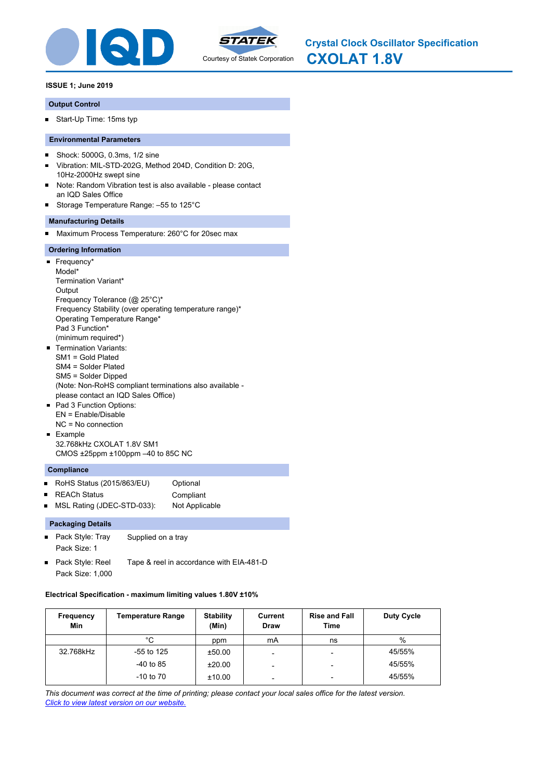



### **Output Control**

Start-Up Time: 15ms typ

# **Environmental Parameters**

- Shock: 5000G, 0.3ms, 1/2 sine  $\blacksquare$
- × Vibration: MIL-STD-202G, Method 204D, Condition D: 20G, 10Hz-2000Hz swept sine
- Note: Random Vibration test is also available please contact an IQD Sales Office
- Storage Temperature Range: –55 to 125°C

# **Manufacturing Details**

 $\blacksquare$ Maximum Process Temperature: 260°C for 20sec max

### **Ordering Information**

- Frequency\* Model\* Termination Variant\* **Output** Frequency Tolerance (@ 25°C)\* Frequency Stability (over operating temperature range)\* Operating Temperature Range\* Pad 3 Function\* (minimum required\*) Termination Variants: п SM1 = Gold Plated SM4 = Solder Plated SM5 = Solder Dipped (Note: Non-RoHS compliant terminations also available please contact an IQD Sales Office) Pad 3 Function Options: EN = Enable/Disable NC = No connection **Example**
- 32.768kHz CXOLAT 1.8V SM1 CMOS ±25ppm ±100ppm –40 to 85C NC

# **Compliance**

- RoHS Status (2015/863/EU) Optional  $\blacksquare$
- REACh Status **Compliant**  $\blacksquare$
- MSL Rating (JDEC-STD-033): Not Applicable

### **Packaging Details**

- $\blacksquare$ Pack Style: Tray Supplied on a tray Pack Size: 1
- Pack Style: Reel Tape & reel in accordance with EIA-481-D Pack Size: 1,000

### **Electrical Specification - maximum limiting values 1.80V ±10%**

| Frequency<br>Min | <b>Temperature Range</b> | <b>Stability</b><br>(Min) | Current<br><b>Draw</b> | <b>Rise and Fall</b><br>Time | Duty Cycle |
|------------------|--------------------------|---------------------------|------------------------|------------------------------|------------|
|                  | °C                       | ppm                       | mA                     | ns                           | %          |
| 32.768kHz        | $-55$ to 125             | ±50.00                    |                        | $\overline{\phantom{0}}$     | 45/55%     |
|                  | $-40$ to 85              | ±20.00                    |                        | $\overline{\phantom{0}}$     | 45/55%     |
|                  | $-10$ to $70$            | ±10.00                    | -                      | $\overline{\phantom{0}}$     | 45/55%     |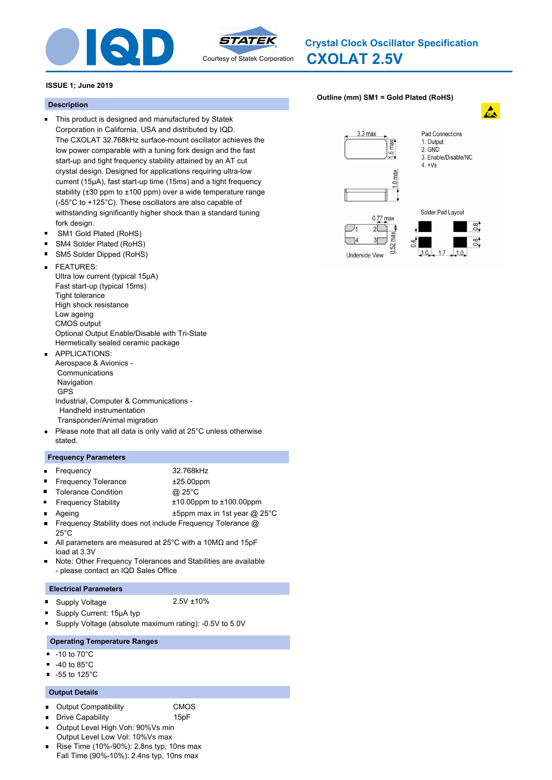



# **CXOLAT 2.5V Crystal Clock Oscillator Specification**

# **ISSUE 1; June 2019**

# **Description**

- This product is designed and manufactured by Statek Corporation in California, USA and distributed by IQD. The CXOLAT 32.768kHz surface-mount oscillator achieves the low power comparable with a tuning fork design and the fast start-up and tight frequency stability attained by an AT cut crystal design. Designed for applications requiring ultra-low current (15µA), fast start-up time (15ms) and a tight frequency stability (±30 ppm to ±100 ppm) over a wide temperature range (-55°C to +125°C). These oscillators are also capable of withstanding significantly higher shock than a standard tuning fork design.
- SM1 Gold Plated (RoHS)  $\blacksquare$
- $\blacksquare$ SM4 Solder Plated (RoHS)
- SM5 Solder Dipped (RoHS)
- FEATURES:  $\blacksquare$ Ultra low current (typical 15μA) Fast start-up (typical 15ms) Tight tolerance High shock resistance Low ageing CMOS output Optional Output Enable/Disable with Tri-State Hermetically sealed ceramic package
- APPLICATIONS: Aerospace & Avionics - Communications Navigation GPS Industrial, Computer & Communications - Handheld instrumentation Transponder/Animal migration
- $\blacksquare$ Please note that all data is only valid at 25°C unless otherwise stated.

# **Frequency Parameters**

 $\blacksquare$ 

 $\blacksquare$ 

- Frequency 32.768kHz
- $\blacksquare$ Frequency Tolerance  $\pm 25.00$ ppm
- Tolerance Condition **@ 25°C**

- Frequency Stability ±10.00ppm to ±100.00ppm
- - Ageing the top and the top the same state of the top and the top and the top and the top and the top and the top and the top and the top and the top and the top and the top and the top and the top and the top and the top a Frequency Stability does not include Frequency Tolerance @ 25°C
- All parameters are measured at 25°C with a 10MΩ and 15pF load at 3.3V
- Note: Other Frequency Tolerances and Stabilities are available  $\blacksquare$ - please contact an IQD Sales Office

# **Electrical Parameters**

Supply Voltage 2.5V ±10%  $\blacksquare$ 

- Supply Current: 15μA typ
- Supply Voltage (absolute maximum rating): -0.5V to 5.0V

# **Operating Temperature Ranges**

- $-10$  to  $70^{\circ}$ C
- -40 to 85°C  $\blacksquare$
- -55 to 125°C

# **Output Details**

- Output Compatibility CMOS  $\blacksquare$
- Drive Capability **15pF**  $\blacksquare$
- 
- Output Level High Voh: 90%Vs min  $\blacksquare$ Output Level Low Vol: 10%Vs max
- Rise Time (10%-90%): 2.8ns typ, 10ns max Fall Time (90%-10%): 2.4ns typ, 10ns max

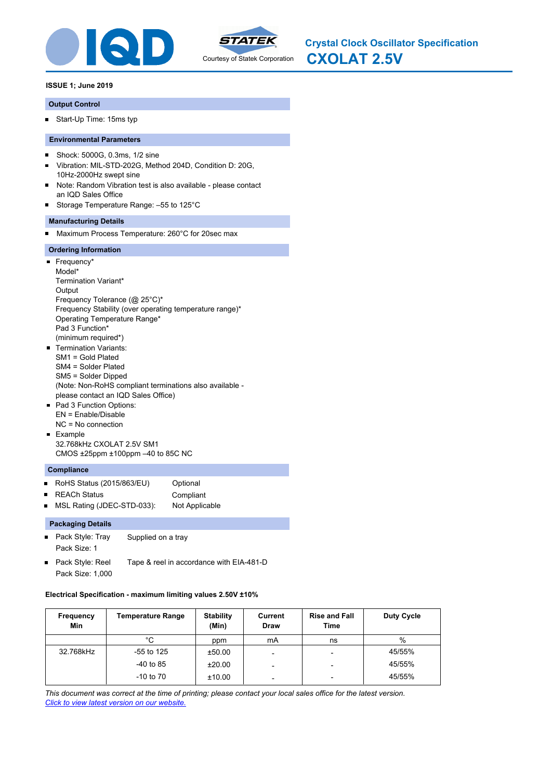



# **Output Control**

Start-Up Time: 15ms typ

# **Environmental Parameters**

- Shock: 5000G, 0.3ms, 1/2 sine  $\blacksquare$
- × Vibration: MIL-STD-202G, Method 204D, Condition D: 20G, 10Hz-2000Hz swept sine
- Note: Random Vibration test is also available please contact an IQD Sales Office
- Storage Temperature Range: –55 to 125°C

# **Manufacturing Details**

 $\blacksquare$ Maximum Process Temperature: 260°C for 20sec max

### **Ordering Information**

- Frequency\* Model\* Termination Variant\* **Output** Frequency Tolerance (@ 25°C)\* Frequency Stability (over operating temperature range)\* Operating Temperature Range\* Pad 3 Function\* (minimum required\*) Termination Variants: п SM1 = Gold Plated SM4 = Solder Plated SM5 = Solder Dipped (Note: Non-RoHS compliant terminations also available please contact an IQD Sales Office) Pad 3 Function Options: EN = Enable/Disable NC = No connection **Example**
- 32.768kHz CXOLAT 2.5V SM1 CMOS ±25ppm ±100ppm –40 to 85C NC

# **Compliance**

- RoHS Status (2015/863/EU) Optional  $\blacksquare$
- REACh Status **Compliant**  $\blacksquare$
- MSL Rating (JDEC-STD-033): Not Applicable

# **Packaging Details**

- $\blacksquare$ Pack Style: Tray Supplied on a tray Pack Size: 1
- Pack Style: Reel Tape & reel in accordance with EIA-481-D Pack Size: 1,000

#### **Electrical Specification - maximum limiting values 2.50V ±10%**

| <b>Frequency</b><br>Min | <b>Temperature Range</b> | <b>Stability</b><br>(Min) | Current<br><b>Draw</b>   | <b>Rise and Fall</b><br>Time | Duty Cycle |
|-------------------------|--------------------------|---------------------------|--------------------------|------------------------------|------------|
|                         | °C                       | ppm                       | mA                       | ns                           | $\%$       |
| 32.768kHz               | $-55$ to 125             | ±50.00                    |                          | $\overline{\phantom{a}}$     | 45/55%     |
|                         | $-40$ to 85              | ±20.00                    |                          | $\overline{\phantom{a}}$     | 45/55%     |
|                         | $-10$ to $70$            | ±10.00                    | $\overline{\phantom{0}}$ | $\overline{\phantom{a}}$     | 45/55%     |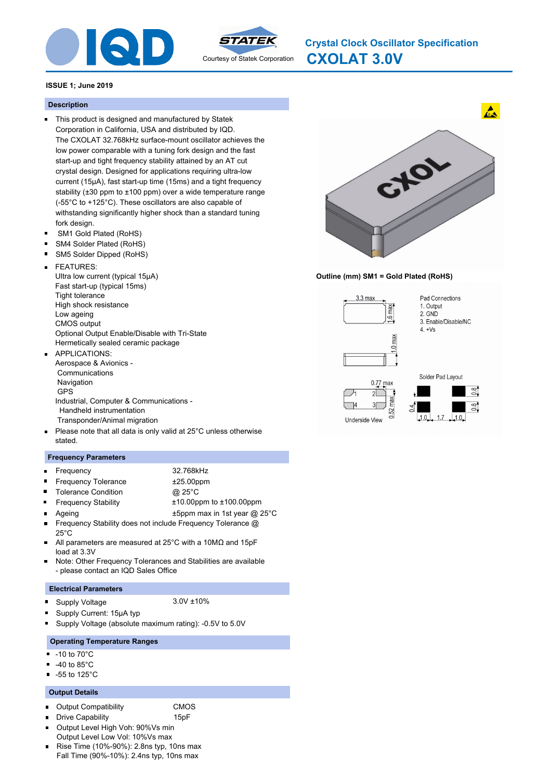



**CXOLAT 3.0V Crystal Clock Oscillator Specification**

# **ISSUE 1; June 2019**

# **Description**

- This product is designed and manufactured by Statek Corporation in California, USA and distributed by IQD. The CXOLAT 32.768kHz surface-mount oscillator achieves the low power comparable with a tuning fork design and the fast start-up and tight frequency stability attained by an AT cut crystal design. Designed for applications requiring ultra-low current (15µA), fast start-up time (15ms) and a tight frequency stability (±30 ppm to ±100 ppm) over a wide temperature range (-55°C to +125°C). These oscillators are also capable of withstanding significantly higher shock than a standard tuning fork design.
- SM1 Gold Plated (RoHS)  $\blacksquare$
- $\blacksquare$ SM4 Solder Plated (RoHS)
- SM5 Solder Dipped (RoHS)
- FEATURES:  $\blacksquare$ Ultra low current (typical 15μA) Fast start-up (typical 15ms) Tight tolerance High shock resistance Low ageing CMOS output Optional Output Enable/Disable with Tri-State Hermetically sealed ceramic package
- APPLICATIONS: Aerospace & Avionics - Communications Navigation GPS Industrial, Computer & Communications - Handheld instrumentation Transponder/Animal migration
- $\blacksquare$ Please note that all data is only valid at 25°C unless otherwise stated.

# **Frequency Parameters**

- $\blacksquare$ Frequency 32.768kHz  $\blacksquare$
- Frequency Tolerance  $\pm 25.00$ ppm
- Tolerance Condition **@ 25°C**  $\blacksquare$
- - Frequency Stability ±10.00ppm to ±100.00ppm Ageing the top and the top the same state of the top and the top and the top and the top and the top and the top and the top and the top and the top and the top and the top and the top and the top and the top and the top a
- Frequency Stability does not include Frequency Tolerance @ 25°C
- All parameters are measured at 25°C with a 10MΩ and 15pF load at 3.3V
- Note: Other Frequency Tolerances and Stabilities are available  $\blacksquare$ - please contact an IQD Sales Office

# **Electrical Parameters**

Supply Voltage 3.0V ±10%  $\blacksquare$ 

- Supply Current: 15μA typ
- Supply Voltage (absolute maximum rating): -0.5V to 5.0V

# **Operating Temperature Ranges**

- -10 to 70°C .
- -40 to 85°C
- -55 to 125°C

# **Output Details**

- Output Compatibility CMOS  $\blacksquare$
- $\blacksquare$ 
	- Drive Capability **15pF**
- Output Level High Voh: 90%Vs min  $\blacksquare$ Output Level Low Vol: 10%Vs max
- Rise Time (10%-90%): 2.8ns typ, 10ns max Fall Time (90%-10%): 2.4ns typ, 10ns max



# **Outline (mm) SM1 = Gold Plated (RoHS)**

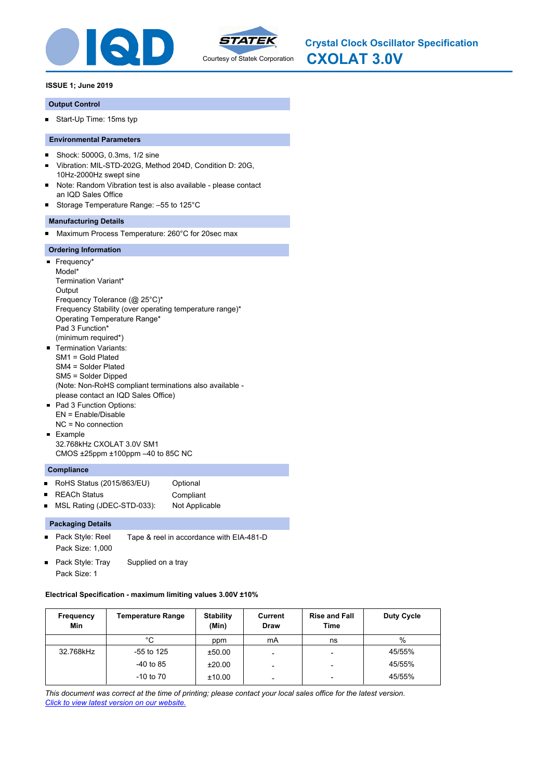



### **Output Control**

Start-Up Time: 15ms typ

# **Environmental Parameters**

- Shock: 5000G, 0.3ms, 1/2 sine  $\blacksquare$
- × Vibration: MIL-STD-202G, Method 204D, Condition D: 20G, 10Hz-2000Hz swept sine
- Note: Random Vibration test is also available please contact an IQD Sales Office
- Storage Temperature Range: –55 to 125°C

# **Manufacturing Details**

 $\blacksquare$ Maximum Process Temperature: 260°C for 20sec max

### **Ordering Information**

- Frequency\* Model\* Termination Variant\* **Output** Frequency Tolerance (@ 25°C)\* Frequency Stability (over operating temperature range)\* Operating Temperature Range\* Pad 3 Function\* (minimum required\*) Termination Variants: п SM1 = Gold Plated SM4 = Solder Plated SM5 = Solder Dipped (Note: Non-RoHS compliant terminations also available please contact an IQD Sales Office) Pad 3 Function Options: EN = Enable/Disable NC = No connection **Example**
- 32.768kHz CXOLAT 3.0V SM1 CMOS ±25ppm ±100ppm –40 to 85C NC

# **Compliance**

- RoHS Status (2015/863/EU) Optional  $\blacksquare$
- REACh Status **Compliant**  $\blacksquare$
- MSL Rating (JDEC-STD-033): Not Applicable

### **Packaging Details**

- $\blacksquare$ Pack Style: Reel Tape & reel in accordance with EIA-481-D Pack Size: 1,000
- Pack Style: Tray Supplied on a tray Pack Size: 1

#### **Electrical Specification - maximum limiting values 3.00V ±10%**

| Frequency<br>Min | <b>Temperature Range</b> | <b>Stability</b><br>(Min) | Current<br><b>Draw</b> | <b>Rise and Fall</b><br>Time | Duty Cycle |
|------------------|--------------------------|---------------------------|------------------------|------------------------------|------------|
|                  | °C                       | ppm                       | mA                     | ns                           | %          |
| 32.768kHz        | $-55$ to 125             | ±50.00                    |                        | $\overline{\phantom{0}}$     | 45/55%     |
|                  | $-40$ to 85              | ±20.00                    |                        | $\overline{\phantom{0}}$     | 45/55%     |
|                  | $-10$ to $70$            | ±10.00                    | -                      | $\overline{\phantom{0}}$     | 45/55%     |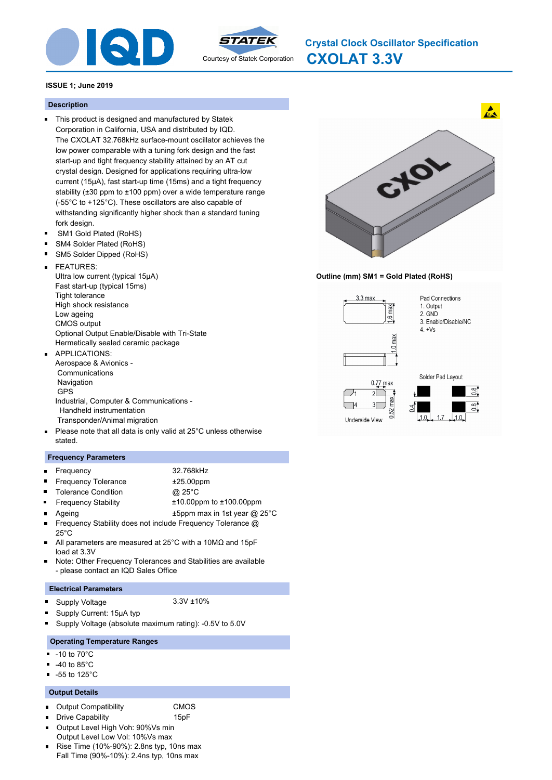



**CXOLAT 3.3V Crystal Clock Oscillator Specification**

# **ISSUE 1; June 2019**

### **Description**

- This product is designed and manufactured by Statek Corporation in California, USA and distributed by IQD. The CXOLAT 32.768kHz surface-mount oscillator achieves the low power comparable with a tuning fork design and the fast start-up and tight frequency stability attained by an AT cut crystal design. Designed for applications requiring ultra-low current (15µA), fast start-up time (15ms) and a tight frequency stability (±30 ppm to ±100 ppm) over a wide temperature range (-55°C to +125°C). These oscillators are also capable of withstanding significantly higher shock than a standard tuning fork design.
- SM1 Gold Plated (RoHS)  $\blacksquare$
- $\blacksquare$ SM4 Solder Plated (RoHS)
- SM5 Solder Dipped (RoHS)
- FEATURES:  $\blacksquare$ Ultra low current (typical 15μA) Fast start-up (typical 15ms) Tight tolerance High shock resistance Low ageing CMOS output Optional Output Enable/Disable with Tri-State Hermetically sealed ceramic package
- APPLICATIONS: Aerospace & Avionics - Communications Navigation GPS Industrial, Computer & Communications - Handheld instrumentation Transponder/Animal migration
- $\blacksquare$ Please note that all data is only valid at 25°C unless otherwise stated.

### **Frequency Parameters**

- $\blacksquare$ Frequency 32.768kHz  $\blacksquare$ Frequency Tolerance  $\pm 25.00$ ppm
- - Tolerance Condition **@ 25°C**
- Frequency Stability ±10.00ppm to ±100.00ppm  $\blacksquare$ Ageing the top and the top the same state of the top and the top and the top and the top and the top and the top and the top and the top and the top and the top and the top and the top and the top and the top and the top a
- Frequency Stability does not include Frequency Tolerance @ 25°C
- All parameters are measured at 25°C with a 10MΩ and 15pF load at 3.3V
- Note: Other Frequency Tolerances and Stabilities are available  $\blacksquare$ - please contact an IQD Sales Office

#### **Electrical Parameters**

Supply Voltage 3.3V ±10%  $\blacksquare$ 

- Supply Current: 15μA typ
- Supply Voltage (absolute maximum rating): -0.5V to 5.0V

# **Operating Temperature Ranges**

- -10 to 70°C .
- -40 to 85°C
- -55 to 125°C

# **Output Details**

- Output Compatibility CMOS  $\blacksquare$
- Drive Capability **15pF**  $\blacksquare$
- 
- Output Level High Voh: 90%Vs min  $\blacksquare$ Output Level Low Vol: 10%Vs max
- Rise Time (10%-90%): 2.8ns typ, 10ns max Fall Time (90%-10%): 2.4ns typ, 10ns max



# **Outline (mm) SM1 = Gold Plated (RoHS)**

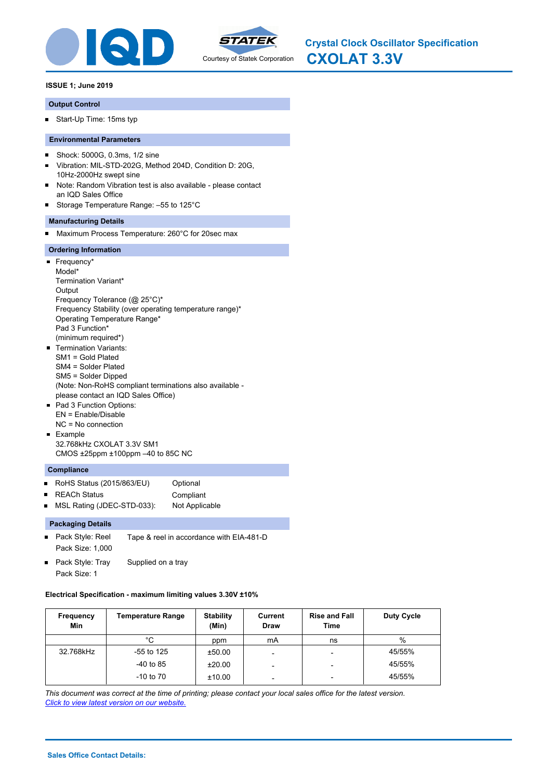



### **Output Control**

Start-Up Time: 15ms typ

# **Environmental Parameters**

- $\blacksquare$ Shock: 5000G, 0.3ms, 1/2 sine
- × Vibration: MIL-STD-202G, Method 204D, Condition D: 20G, 10Hz-2000Hz swept sine
- Note: Random Vibration test is also available please contact an IQD Sales Office
- Storage Temperature Range: –55 to 125°C

# **Manufacturing Details**

Maximum Process Temperature: 260°C for 20sec max  $\blacksquare$ 

### **Ordering Information**

- Frequency\* Model\* Termination Variant\* **Output** Frequency Tolerance (@ 25°C)\* Frequency Stability (over operating temperature range)\* Operating Temperature Range\* Pad 3 Function\* (minimum required\*) **Termination Variants:** SM1 = Gold Plated SM4 = Solder Plated SM5 = Solder Dipped (Note: Non-RoHS compliant terminations also available please contact an IQD Sales Office) Pad 3 Function Options: EN = Enable/Disable NC = No connection **Example**
- 32.768kHz CXOLAT 3.3V SM1 CMOS ±25ppm ±100ppm –40 to 85C NC

# **Compliance**

- $\blacksquare$ RoHS Status (2015/863/EU) Optional
- REACh Status **Compliant**  $\blacksquare$
- MSL Rating (JDEC-STD-033): Not Applicable

# **Packaging Details**

- $\blacksquare$ Pack Style: Reel Tape & reel in accordance with EIA-481-D Pack Size: 1,000
- Pack Style: Tray Supplied on a tray Pack Size: 1

#### **Electrical Specification - maximum limiting values 3.30V ±10%**

| <b>Frequency</b><br>Min | <b>Temperature Range</b> | <b>Stability</b><br>(Min) | Current<br><b>Draw</b> | <b>Rise and Fall</b><br>Time | Duty Cycle |
|-------------------------|--------------------------|---------------------------|------------------------|------------------------------|------------|
|                         | °C                       | ppm                       | mA                     | ns                           | %          |
| 32.768kHz               | -55 to 125               | ±50.00                    | -                      | -                            | 45/55%     |
|                         | $-40$ to 85              | ±20.00                    | -                      | -                            | 45/55%     |
|                         | $-10$ to $70$            | ±10.00                    | -                      | -                            | 45/55%     |